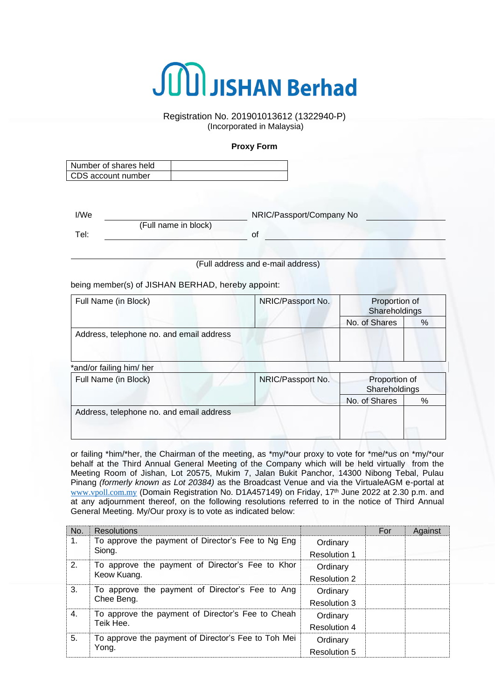

Registration No. 201901013612 (1322940-P) (Incorporated in Malaysia)

## **Proxy Form**

| Number of shares held |  |
|-----------------------|--|
| CDS account number    |  |

| I/We |                      | NRIC/Passport/Company No |
|------|----------------------|--------------------------|
|      | (Full name in block) |                          |
| Tel: |                      |                          |

(Full address and e-mail address)

being member(s) of JISHAN BERHAD, hereby appoint:

| Full Name (in Block)                                                         | NRIC/Passport No.                                                                                                                                                                                                                                                                                                                  | Proportion of<br>Shareholdings |   |
|------------------------------------------------------------------------------|------------------------------------------------------------------------------------------------------------------------------------------------------------------------------------------------------------------------------------------------------------------------------------------------------------------------------------|--------------------------------|---|
|                                                                              |                                                                                                                                                                                                                                                                                                                                    | No. of Shares                  | % |
| Address, telephone no. and email address                                     |                                                                                                                                                                                                                                                                                                                                    |                                |   |
| *and/or failing him/ her                                                     |                                                                                                                                                                                                                                                                                                                                    |                                |   |
| $\blacksquare$ If it is a set of $\blacksquare$ is the set of $\blacksquare$ | $\mathbf{N}$ $\mathbf{N}$ $\mathbf{N}$ $\mathbf{N}$ $\mathbf{N}$ $\mathbf{N}$ $\mathbf{N}$ $\mathbf{N}$ $\mathbf{N}$ $\mathbf{N}$ $\mathbf{N}$ $\mathbf{N}$ $\mathbf{N}$ $\mathbf{N}$ $\mathbf{N}$ $\mathbf{N}$ $\mathbf{N}$ $\mathbf{N}$ $\mathbf{N}$ $\mathbf{N}$ $\mathbf{N}$ $\mathbf{N}$ $\mathbf{N}$ $\mathbf{N}$ $\mathbf{$ |                                |   |

| Full Name (in Block)                     | NRIC/Passport No. | Proportion of<br>Shareholdings |      |
|------------------------------------------|-------------------|--------------------------------|------|
|                                          |                   | No. of Shares                  | $\%$ |
| Address, telephone no. and email address |                   |                                |      |

or failing \*him/\*her, the Chairman of the meeting, as \*my/\*our proxy to vote for \*me/\*us on \*my/\*our behalf at the Third Annual General Meeting of the Company which will be held virtually from the Meeting Room of Jishan, Lot 20575, Mukim 7, Jalan Bukit Panchor, 14300 Nibong Tebal, Pulau Pinang *(formerly known as Lot 20384)* as the Broadcast Venue and via the VirtualeAGM e-portal at www.vpoll.com.my (Domain Registration No. D1A457149) on Friday, 17<sup>th</sup> June 2022 at 2.30 p.m. and at any adjournment thereof, on the following resolutions referred to in the notice of Third Annual General Meeting. My/Our proxy is to vote as indicated below:

| No.                                                                  | <b>Resolutions</b>                                              |                     | For | Against |
|----------------------------------------------------------------------|-----------------------------------------------------------------|---------------------|-----|---------|
| 1.                                                                   | To approve the payment of Director's Fee to Ng Eng<br>Siong.    | Ordinary            |     |         |
|                                                                      |                                                                 | <b>Resolution 1</b> |     |         |
| 2.                                                                   | To approve the payment of Director's Fee to Khor<br>Keow Kuang. | Ordinary            |     |         |
|                                                                      |                                                                 | <b>Resolution 2</b> |     |         |
| 3.                                                                   | To approve the payment of Director's Fee to Ang                 | Ordinary            |     |         |
|                                                                      | Chee Beng.                                                      | Resolution 3        |     |         |
| To approve the payment of Director's Fee to Cheah<br>4.<br>Teik Hee. | Ordinary                                                        |                     |     |         |
|                                                                      |                                                                 | <b>Resolution 4</b> |     |         |
| 5.                                                                   | To approve the payment of Director's Fee to Toh Mei<br>Yong.    | Ordinary            |     |         |
|                                                                      |                                                                 | <b>Resolution 5</b> |     |         |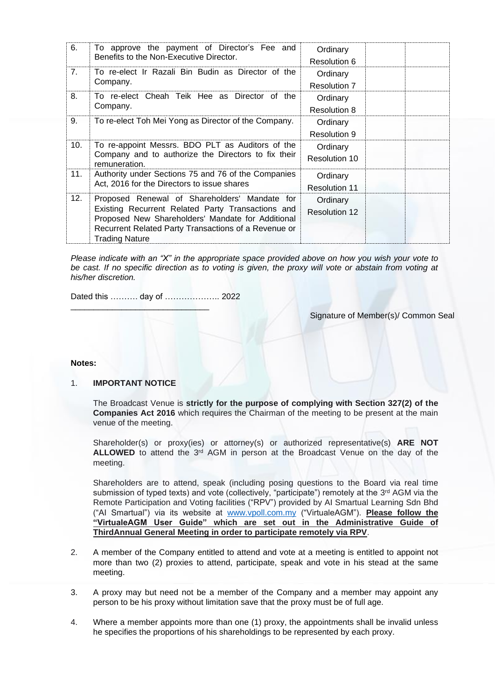| 6.  | To approve the payment of Director's Fee and<br>Benefits to the Non-Executive Director.                                                                                                                                                  | Ordinary<br>Resolution 6         |
|-----|------------------------------------------------------------------------------------------------------------------------------------------------------------------------------------------------------------------------------------------|----------------------------------|
| 7.  | To re-elect Ir Razali Bin Budin as Director of the<br>Company.                                                                                                                                                                           | Ordinary<br>Resolution 7         |
| 8.  | To re-elect Cheah Teik Hee as Director of the<br>Company.                                                                                                                                                                                | Ordinary<br><b>Resolution 8</b>  |
| 9.  | To re-elect Toh Mei Yong as Director of the Company.                                                                                                                                                                                     | Ordinary<br>Resolution 9         |
| 10. | To re-appoint Messrs. BDO PLT as Auditors of the<br>Company and to authorize the Directors to fix their<br>remuneration.                                                                                                                 | Ordinary<br>Resolution 10        |
| 11. | Authority under Sections 75 and 76 of the Companies<br>Act, 2016 for the Directors to issue shares                                                                                                                                       | Ordinary<br><b>Resolution 11</b> |
| 12. | Proposed Renewal of Shareholders' Mandate for<br>Existing Recurrent Related Party Transactions and<br>Proposed New Shareholders' Mandate for Additional<br>Recurrent Related Party Transactions of a Revenue or<br><b>Trading Nature</b> | Ordinary<br><b>Resolution 12</b> |

*Please indicate with an "X" in the appropriate space provided above on how you wish your vote to be cast. If no specific direction as to voting is given, the proxy will vote or abstain from voting at his/her discretion.*

Dated this ………. day of ……………….. 2022

 $\overline{\phantom{a}}$  , and the set of the set of the set of the set of the set of the set of the set of the set of the set of the set of the set of the set of the set of the set of the set of the set of the set of the set of the s

Signature of Member(s)/ Common Seal

#### **Notes:**

# 1. **IMPORTANT NOTICE**

The Broadcast Venue is **strictly for the purpose of complying with Section 327(2) of the Companies Act 2016** which requires the Chairman of the meeting to be present at the main venue of the meeting.

Shareholder(s) or proxy(ies) or attorney(s) or authorized representative(s) **ARE NOT ALLOWED** to attend the 3<sup>rd</sup> AGM in person at the Broadcast Venue on the day of the meeting.

Shareholders are to attend, speak (including posing questions to the Board via real time submission of typed texts) and vote (collectively, "participate") remotely at the 3<sup>rd</sup> AGM via the Remote Participation and Voting facilities ("RPV") provided by AI Smartual Learning Sdn Bhd ("AI Smartual") via its website at [www.vpoll.com.my](http://www.vpoll.com.my/) ("VirtualeAGM"). **Please follow the "VirtualeAGM User Guide" which are set out in the Administrative Guide of ThirdAnnual General Meeting in order to participate remotely via RPV**.

- 2. A member of the Company entitled to attend and vote at a meeting is entitled to appoint not more than two (2) proxies to attend, participate, speak and vote in his stead at the same meeting.
- 3. A proxy may but need not be a member of the Company and a member may appoint any person to be his proxy without limitation save that the proxy must be of full age.
- 4. Where a member appoints more than one (1) proxy, the appointments shall be invalid unless he specifies the proportions of his shareholdings to be represented by each proxy.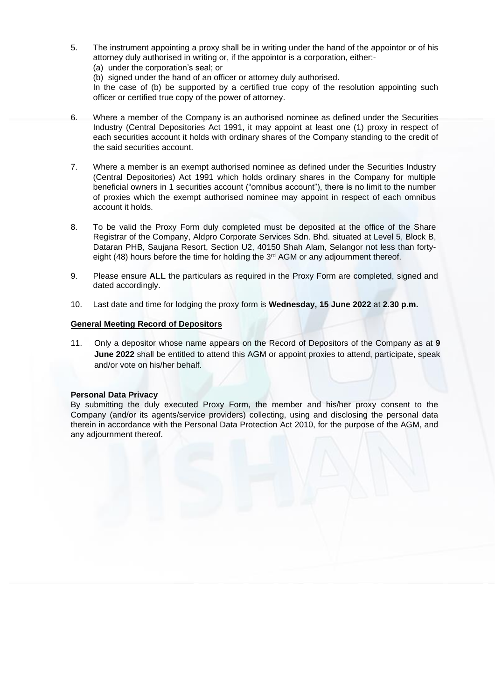5. The instrument appointing a proxy shall be in writing under the hand of the appointor or of his attorney duly authorised in writing or, if the appointor is a corporation, either:-

(a) under the corporation's seal; or

(b) signed under the hand of an officer or attorney duly authorised. In the case of (b) be supported by a certified true copy of the resolution appointing such

officer or certified true copy of the power of attorney.

- 6. Where a member of the Company is an authorised nominee as defined under the Securities Industry (Central Depositories Act 1991, it may appoint at least one (1) proxy in respect of each securities account it holds with ordinary shares of the Company standing to the credit of the said securities account.
- 7. Where a member is an exempt authorised nominee as defined under the Securities Industry (Central Depositories) Act 1991 which holds ordinary shares in the Company for multiple beneficial owners in 1 securities account ("omnibus account"), there is no limit to the number of proxies which the exempt authorised nominee may appoint in respect of each omnibus account it holds.
- 8. To be valid the Proxy Form duly completed must be deposited at the office of the Share Registrar of the Company, Aldpro Corporate Services Sdn. Bhd. situated at Level 5, Block B, Dataran PHB, Saujana Resort, Section U2, 40150 Shah Alam, Selangor not less than fortyeight (48) hours before the time for holding the 3<sup>rd</sup> AGM or any adjournment thereof.
- 9. Please ensure **ALL** the particulars as required in the Proxy Form are completed, signed and dated accordingly.
- 10. Last date and time for lodging the proxy form is **Wednesday, 15 June 2022** at **2.30 p.m.**

## **General Meeting Record of Depositors**

11. Only a depositor whose name appears on the Record of Depositors of the Company as at **9 June 2022** shall be entitled to attend this AGM or appoint proxies to attend, participate, speak and/or vote on his/her behalf.

## **Personal Data Privacy**

By submitting the duly executed Proxy Form, the member and his/her proxy consent to the Company (and/or its agents/service providers) collecting, using and disclosing the personal data therein in accordance with the Personal Data Protection Act 2010, for the purpose of the AGM, and any adjournment thereof.